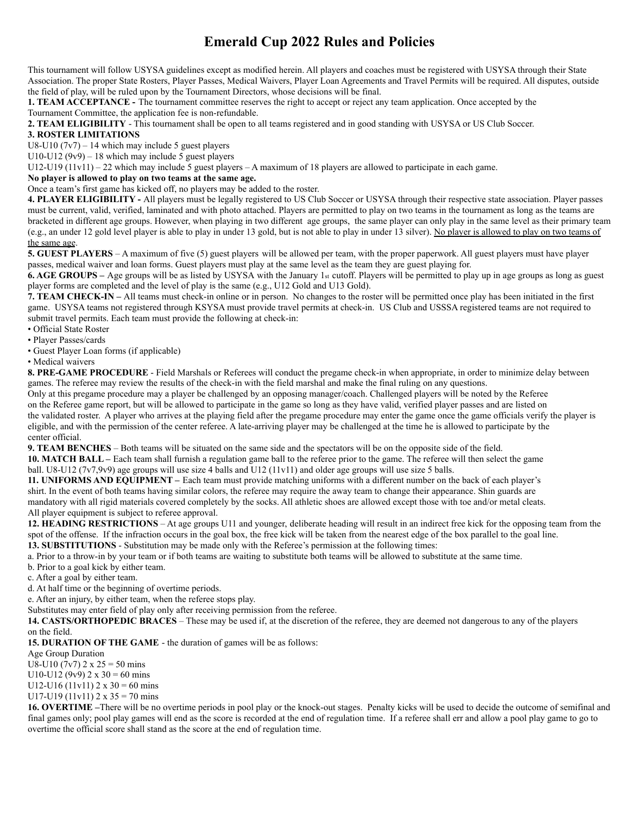# **Emerald Cup 2022 Rules and Policies**

This tournament will follow USYSA guidelines except as modified herein. All players and coaches must be registered with USYSA through their State Association. The proper State Rosters, Player Passes, Medical Waivers, Player Loan Agreements and Travel Permits will be required. All disputes, outside the field of play, will be ruled upon by the Tournament Directors, whose decisions will be final.

**1. TEAM ACCEPTANCE -** The tournament committee reserves the right to accept or reject any team application. Once accepted by the Tournament Committee, the application fee is non-refundable.

**2. TEAM ELIGIBILITY** - This tournament shall be open to all teams registered and in good standing with USYSA or US Club Soccer.

### **3. ROSTER LIMITATIONS**

U8-U10  $(7v7)$  – 14 which may include 5 guest players

U10-U12  $(9v9) - 18$  which may include 5 guest players

U12-U19 (11v11) – 22 which may include 5 guest players – A maximum of 18 players are allowed to participate in each game.

### **No player is allowed to play on two teams at the same age.**

Once a team's first game has kicked off, no players may be added to the roster.

**4. PLAYER ELIGIBILITY -** All players must be legally registered to US Club Soccer or USYSA through their respective state association. Player passes must be current, valid, verified, laminated and with photo attached. Players are permitted to play on two teams in the tournament as long as the teams are bracketed in different age groups. However, when playing in two different age groups, the same player can only play in the same level as their primary team (e.g., an under 12 gold level player is able to play in under 13 gold, but is not able to play in under 13 silver). No player is allowed to play on two teams of the same age.

**5. GUEST PLAYERS** – A maximum of five (5) guest players will be allowed per team, with the proper paperwork. All guest players must have player passes, medical waiver and loan forms. Guest players must play at the same level as the team they are guest playing for.

**6. AGE GROUPS** – Age groups will be as listed by USYSA with the January 1st cutoff. Players will be permitted to play up in age groups as long as guest player forms are completed and the level of play is the same (e.g., U12 Gold and U13 Gold).

**7. TEAM CHECK-IN –** All teams must check-in online or in person. No changes to the roster will be permitted once play has been initiated in the first game. USYSA teams not registered through KSYSA must provide travel permits at check-in. US Club and USSSA registered teams are not required to submit travel permits. Each team must provide the following at check-in:

- Official State Roster
- Player Passes/cards
- Guest Player Loan forms (if applicable)
- Medical waivers

**8. PRE-GAME PROCEDURE** - Field Marshals or Referees will conduct the pregame check-in when appropriate, in order to minimize delay between games. The referee may review the results of the check-in with the field marshal and make the final ruling on any questions.

Only at this pregame procedure may a player be challenged by an opposing manager/coach. Challenged players will be noted by the Referee on the Referee game report, but will be allowed to participate in the game so long as they have valid, verified player passes and are listed on the validated roster. A player who arrives at the playing field after the pregame procedure may enter the game once the game officials verify the player is eligible, and with the permission of the center referee. A late-arriving player may be challenged at the time he is allowed to participate by the center official.

**9. TEAM BENCHES** – Both teams will be situated on the same side and the spectators will be on the opposite side of the field.

**10. MATCH BALL –** Each team shall furnish a regulation game ball to the referee prior to the game. The referee will then select the game

## ball. U8-U12 (7v7,9v9) age groups will use size 4 balls and U12 (11v11) and older age groups will use size 5 balls.

**11. UNIFORMS AND EQUIPMENT –** Each team must provide matching uniforms with a different number on the back of each player's shirt. In the event of both teams having similar colors, the referee may require the away team to change their appearance. Shin guards are mandatory with all rigid materials covered completely by the socks. All athletic shoes are allowed except those with toe and/or metal cleats. All player equipment is subject to referee approval.

**12. HEADING RESTRICTIONS** – At age groups U11 and younger, deliberate heading will result in an indirect free kick for the opposing team from the spot of the offense. If the infraction occurs in the goal box, the free kick will be taken from the nearest edge of the box parallel to the goal line.

**13. SUBSTITUTIONS** - Substitution may be made only with the Referee's permission at the following times:

a. Prior to a throw-in by your team or if both teams are waiting to substitute both teams will be allowed to substitute at the same time.

b. Prior to a goal kick by either team.

c. After a goal by either team.

d. At half time or the beginning of overtime periods.

e. After an injury, by either team, when the referee stops play.

Substitutes may enter field of play only after receiving permission from the referee.

**14. CASTS/ORTHOPEDIC BRACES** – These may be used if, at the discretion of the referee, they are deemed not dangerous to any of the players on the field.

**15. DURATION OF THE GAME** - the duration of games will be as follows:

#### Age Group Duration

U8-U10 (7v7)  $2 \times 25 = 50$  mins

U10-U12 (9v9)  $2 \times 30 = 60$  mins

U12-U16 (11v11)  $2 \times 30 = 60$  mins

U17-U19 (11v11)  $2 \times 35 = 70$  mins

**16. OVERTIME –**There will be no overtime periods in pool play or the knock-out stages. Penalty kicks will be used to decide the outcome of semifinal and final games only; pool play games will end as the score is recorded at the end of regulation time. If a referee shall err and allow a pool play game to go to overtime the official score shall stand as the score at the end of regulation time.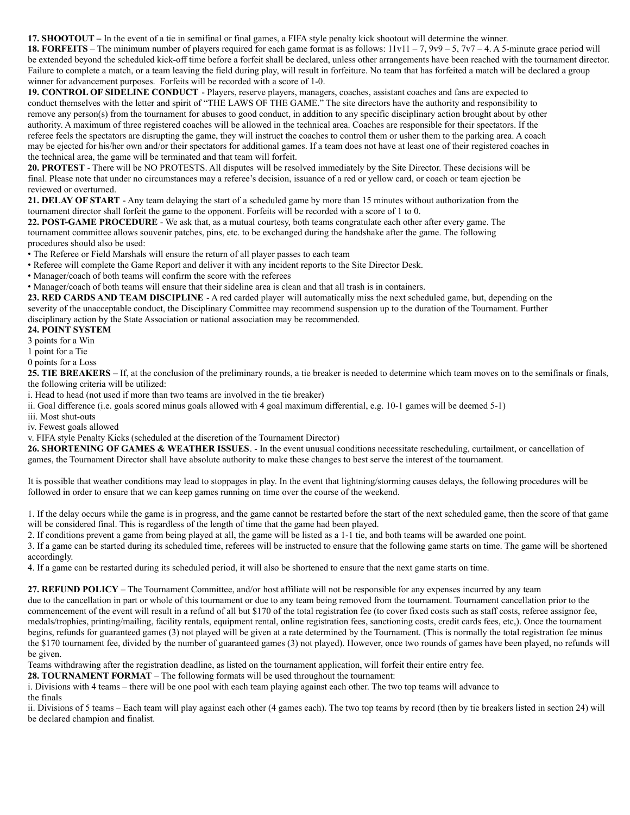**17. SHOOTOUT –** In the event of a tie in semifinal or final games, a FIFA style penalty kick shootout will determine the winner.

**18. FORFEITS** – The minimum number of players required for each game format is as follows:  $11v11 - 7$ ,  $9v9 - 5$ ,  $7v7 - 4$ . A 5-minute grace period will be extended beyond the scheduled kick-off time before a forfeit shall be declared, unless other arrangements have been reached with the tournament director. Failure to complete a match, or a team leaving the field during play, will result in forfeiture. No team that has forfeited a match will be declared a group winner for advancement purposes. Forfeits will be recorded with a score of 1-0.

**19. CONTROL OF SIDELINE CONDUCT** - Players, reserve players, managers, coaches, assistant coaches and fans are expected to conduct themselves with the letter and spirit of "THE LAWS OF THE GAME." The site directors have the authority and responsibility to remove any person(s) from the tournament for abuses to good conduct, in addition to any specific disciplinary action brought about by other authority. A maximum of three registered coaches will be allowed in the technical area. Coaches are responsible for their spectators. If the referee feels the spectators are disrupting the game, they will instruct the coaches to control them or usher them to the parking area. A coach may be ejected for his/her own and/or their spectators for additional games. If a team does not have at least one of their registered coaches in the technical area, the game will be terminated and that team will forfeit.

**20. PROTEST** - There will be NO PROTESTS. All disputes will be resolved immediately by the Site Director. These decisions will be final. Please note that under no circumstances may a referee's decision, issuance of a red or yellow card, or coach or team ejection be reviewed or overturned.

**21. DELAY OF START** - Any team delaying the start of a scheduled game by more than 15 minutes without authorization from the tournament director shall forfeit the game to the opponent. Forfeits will be recorded with a score of 1 to 0.

**22. POST-GAME PROCEDURE** - We ask that, as a mutual courtesy, both teams congratulate each other after every game. The tournament committee allows souvenir patches, pins, etc. to be exchanged during the handshake after the game. The following procedures should also be used:

• The Referee or Field Marshals will ensure the return of all player passes to each team

• Referee will complete the Game Report and deliver it with any incident reports to the Site Director Desk.

• Manager/coach of both teams will confirm the score with the referees

• Manager/coach of both teams will ensure that their sideline area is clean and that all trash is in containers.

**23. RED CARDS AND TEAM DISCIPLINE** - A red carded player will automatically miss the next scheduled game, but, depending on the severity of the unacceptable conduct, the Disciplinary Committee may recommend suspension up to the duration of the Tournament. Further disciplinary action by the State Association or national association may be recommended.

### **24. POINT SYSTEM**

3 points for a Win

1 point for a Tie

0 points for a Loss

**25. TIE BREAKERS** – If, at the conclusion of the preliminary rounds, a tie breaker is needed to determine which team moves on to the semifinals or finals, the following criteria will be utilized:

i. Head to head (not used if more than two teams are involved in the tie breaker)

ii. Goal difference (i.e. goals scored minus goals allowed with 4 goal maximum differential, e.g. 10-1 games will be deemed 5-1)

iii. Most shut-outs

iv. Fewest goals allowed

v. FIFA style Penalty Kicks (scheduled at the discretion of the Tournament Director)

**26. SHORTENING OF GAMES & WEATHER ISSUES**. - In the event unusual conditions necessitate rescheduling, curtailment, or cancellation of games, the Tournament Director shall have absolute authority to make these changes to best serve the interest of the tournament.

It is possible that weather conditions may lead to stoppages in play. In the event that lightning/storming causes delays, the following procedures will be followed in order to ensure that we can keep games running on time over the course of the weekend.

1. If the delay occurs while the game is in progress, and the game cannot be restarted before the start of the next scheduled game, then the score of that game will be considered final. This is regardless of the length of time that the game had been played.

2. If conditions prevent a game from being played at all, the game will be listed as a 1-1 tie, and both teams will be awarded one point.

3. If a game can be started during its scheduled time, referees will be instructed to ensure that the following game starts on time. The game will be shortened accordingly.

4. If a game can be restarted during its scheduled period, it will also be shortened to ensure that the next game starts on time.

**27. REFUND POLICY** – The Tournament Committee, and/or host affiliate will not be responsible for any expenses incurred by any team due to the cancellation in part or whole of this tournament or due to any team being removed from the tournament. Tournament cancellation prior to the commencement of the event will result in a refund of all but \$170 of the total registration fee (to cover fixed costs such as staff costs, referee assignor fee, medals/trophies, printing/mailing, facility rentals, equipment rental, online registration fees, sanctioning costs, credit cards fees, etc,). Once the tournament begins, refunds for guaranteed games (3) not played will be given at a rate determined by the Tournament. (This is normally the total registration fee minus the \$170 tournament fee, divided by the number of guaranteed games (3) not played). However, once two rounds of games have been played, no refunds will be given.

Teams withdrawing after the registration deadline, as listed on the tournament application, will forfeit their entire entry fee.

**28. TOURNAMENT FORMAT** – The following formats will be used throughout the tournament:

i. Divisions with 4 teams – there will be one pool with each team playing against each other. The two top teams will advance to the finals

ii. Divisions of 5 teams – Each team will play against each other (4 games each). The two top teams by record (then by tie breakers listed in section 24) will be declared champion and finalist.